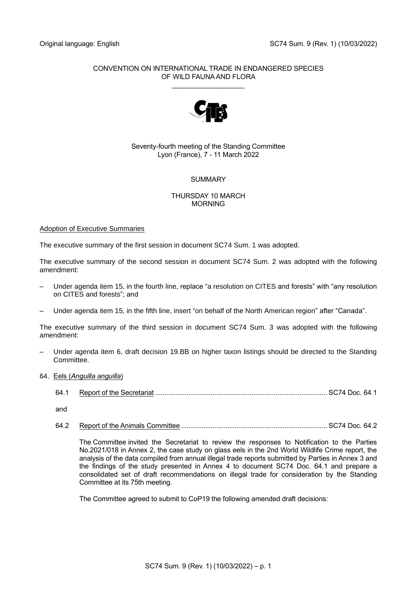# CONVENTION ON INTERNATIONAL TRADE IN ENDANGERED SPECIES OF WILD FAUNA AND FLORA

\_\_\_\_\_\_\_\_\_\_\_\_\_\_\_\_\_\_\_



# Seventy-fourth meeting of the Standing Committee Lyon (France), 7 - 11 March 2022

# SUMMARY

### THURSDAY 10 MARCH MORNING

# Adoption of Executive Summaries

The executive summary of the first session in document SC74 Sum. 1 was adopted.

The executive summary of the second session in document SC74 Sum. 2 was adopted with the following amendment:

- Under agenda item 15, in the fourth line, replace "a resolution on CITES and forests" with "any resolution on CITES and forests"; and
- Under agenda item 15, in the fifth line, insert "on behalf of the North American region" after "Canada".

The executive summary of the third session in document SC74 Sum. 3 was adopted with the following amendment:

– Under agenda item 6, draft decision 19.BB on higher taxon listings should be directed to the Standing Committee.

# 64. Eels (*Anguilla anguilla*)

64.1 Report of the Secretariat ............................................................................................. SC74 Doc. 64.1

and

64.2 Report of the Animals Committee ............................................................................... SC74 Doc. 64.2

The Committee invited the Secretariat to review the responses to Notification to the Parties No.2021/018 in Annex 2, the case study on glass eels in the 2nd World Wildlife Crime report, the analysis of the data compiled from annual illegal trade reports submitted by Parties in Annex 3 and the findings of the study presented in Annex 4 to document SC74 Doc. 64.1 and prepare a consolidated set of draft recommendations on illegal trade for consideration by the Standing Committee at its 75th meeting.

The Committee agreed to submit to CoP19 the following amended draft decisions: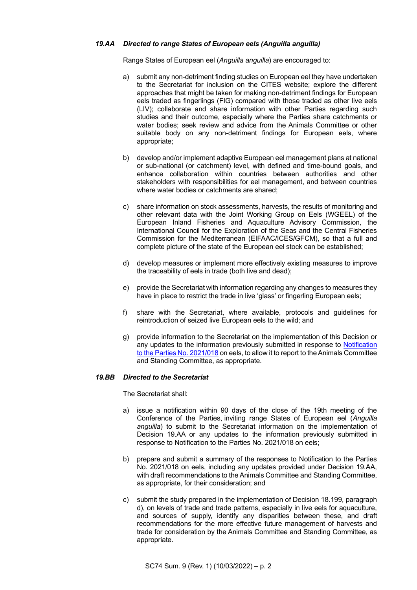### *19.AA Directed to range States of European eels (Anguilla anguilla)*

Range States of European eel (*Anguilla anguilla*) are encouraged to:

- a) submit any non-detriment finding studies on European eel they have undertaken to the Secretariat for inclusion on the CITES website; explore the different approaches that might be taken for making non-detriment findings for European eels traded as fingerlings (FIG) compared with those traded as other live eels (LIV); collaborate and share information with other Parties regarding such studies and their outcome, especially where the Parties share catchments or water bodies; seek review and advice from the Animals Committee or other suitable body on any non-detriment findings for European eels, where appropriate;
- b) develop and/or implement adaptive European eel management plans at national or sub-national (or catchment) level, with defined and time-bound goals, and enhance collaboration within countries between authorities and other stakeholders with responsibilities for eel management, and between countries where water bodies or catchments are shared;
- c) share information on stock assessments, harvests, the results of monitoring and other relevant data with the Joint Working Group on Eels (WGEEL) of the European Inland Fisheries and Aquaculture Advisory Commission, the International Council for the Exploration of the Seas and the Central Fisheries Commission for the Mediterranean (EIFAAC/ICES/GFCM), so that a full and complete picture of the state of the European eel stock can be established;
- d) develop measures or implement more effectively existing measures to improve the traceability of eels in trade (both live and dead);
- e) provide the Secretariat with information regarding any changes to measures they have in place to restrict the trade in live 'glass' or fingerling European eels;
- f) share with the Secretariat, where available, protocols and guidelines for reintroduction of seized live European eels to the wild; and
- g) provide information to the Secretariat on the implementation of this Decision or any updates to the information previously submitted in response to Notification [to the Parties No. 2021/018](https://cites.org/sites/default/files/notifications/E-Notif-2021-018.pdf) on eels, to allow it to report to the Animals Committee and Standing Committee, as appropriate.

#### *19.BB Directed to the Secretariat*

The Secretariat shall:

- a) issue a notification within 90 days of the close of the 19th meeting of the Conference of the Parties, inviting range States of European eel (*Anguilla anguilla*) to submit to the Secretariat information on the implementation of Decision 19.AA or any updates to the information previously submitted in response to Notification to the Parties No. 2021/018 on eels;
- b) prepare and submit a summary of the responses to Notification to the Parties No. 2021/018 on eels, including any updates provided under Decision 19.AA, with draft recommendations to the Animals Committee and Standing Committee, as appropriate, for their consideration; and
- c) submit the study prepared in the implementation of Decision 18.199, paragraph d), on levels of trade and trade patterns, especially in live eels for aquaculture, and sources of supply, identify any disparities between these, and draft recommendations for the more effective future management of harvests and trade for consideration by the Animals Committee and Standing Committee, as appropriate.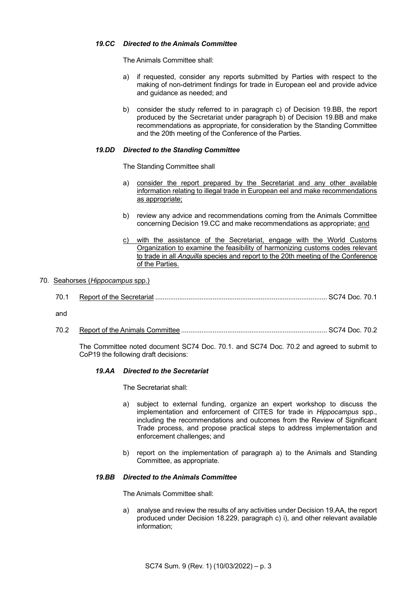### *19.CC Directed to the Animals Committee*

The Animals Committee shall:

- a) if requested, consider any reports submitted by Parties with respect to the making of non-detriment findings for trade in European eel and provide advice and guidance as needed; and
- b) consider the study referred to in paragraph c) of Decision 19.BB, the report produced by the Secretariat under paragraph b) of Decision 19.BB and make recommendations as appropriate, for consideration by the Standing Committee and the 20th meeting of the Conference of the Parties.

### *19.DD Directed to the Standing Committee*

The Standing Committee shall

- a) consider the report prepared by the Secretariat and any other available information relating to illegal trade in European eel and make recommendations as appropriate;
- b) review any advice and recommendations coming from the Animals Committee concerning Decision 19.CC and make recommendations as appropriate; and
- c) with the assistance of the Secretariat, engage with the World Customs Organization to examine the feasibility of harmonizing customs codes relevant to trade in all *Anguilla* species and report to the 20th meeting of the Conference of the Parties.

### 70. Seahorses (*Hippocampus* spp.)

| 70.1 |  |  |  |
|------|--|--|--|
|------|--|--|--|

and

70.2 Report of the Animals Committee ............................................................................... SC74 Doc. 70.2

The Committee noted document SC74 Doc. 70.1. and SC74 Doc. 70.2 and agreed to submit to CoP19 the following draft decisions:

#### *19.AA Directed to the Secretariat*

The Secretariat shall:

- a) subject to external funding, organize an expert workshop to discuss the implementation and enforcement of CITES for trade in *Hippocampus* spp., including the recommendations and outcomes from the Review of Significant Trade process, and propose practical steps to address implementation and enforcement challenges; and
- b) report on the implementation of paragraph a) to the Animals and Standing Committee, as appropriate.

### *19.BB Directed to the Animals Committee*

The Animals Committee shall:

a) analyse and review the results of any activities under Decision 19.AA, the report produced under Decision 18.229, paragraph c) i), and other relevant available information;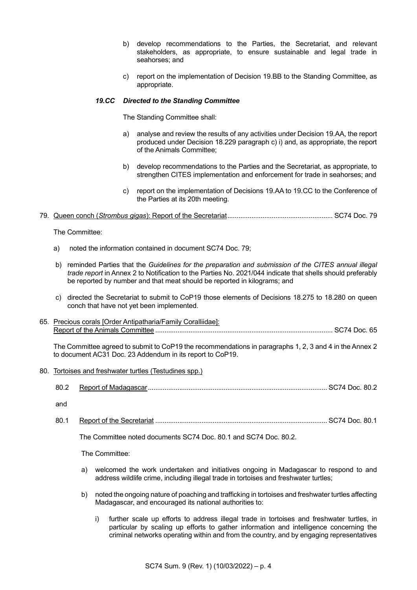- b) develop recommendations to the Parties, the Secretariat, and relevant stakeholders, as appropriate, to ensure sustainable and legal trade in seahorses; and
- c) report on the implementation of Decision 19.BB to the Standing Committee, as appropriate.

### *19.CC Directed to the Standing Committee*

The Standing Committee shall:

- a) analyse and review the results of any activities under Decision 19.AA, the report produced under Decision 18.229 paragraph c) i) and, as appropriate, the report of the Animals Committee;
- b) develop recommendations to the Parties and the Secretariat, as appropriate, to strengthen CITES implementation and enforcement for trade in seahorses; and
- c) report on the implementation of Decisions 19.AA to 19.CC to the Conference of the Parties at its 20th meeting.

# 79. Queen conch (*Strombus gigas*): Report of the Secretariat......................................................... SC74 Doc. 79

The Committee:

- a) noted the information contained in document SC74 Doc. 79;
- b) reminded Parties that the *Guidelines for the preparation and submission of the CITES annual illegal trade report* in Annex 2 to Notification to the Parties No. 2021/044 indicate that shells should preferably be reported by number and that meat should be reported in kilograms; and
- c) directed the Secretariat to submit to CoP19 those elements of Decisions 18.275 to 18.280 on queen conch that have not yet been implemented.
- 65. Precious corals [Order Antipatharia/Family Coralliidae]: Report of the Animals Committee ................................................................................................ SC74 Doc. 65

The Committee agreed to submit to CoP19 the recommendations in paragraphs 1, 2, 3 and 4 in the Annex 2 to document AC31 Doc. 23 Addendum in its report to CoP19.

- 80. Tortoises and freshwater turtles (Testudines spp.)
	- 80.2 Report of Madagascar................................................................................................. SC74 Doc. 80.2

and

80.1 Report of the Secretariat ............................................................................................. SC74 Doc. 80.1

The Committee noted documents SC74 Doc. 80.1 and SC74 Doc. 80.2.

The Committee:

- a) welcomed the work undertaken and initiatives ongoing in Madagascar to respond to and address wildlife crime, including illegal trade in tortoises and freshwater turtles;
- b) noted the ongoing nature of poaching and trafficking in tortoises and freshwater turtles affecting Madagascar, and encouraged its national authorities to:
	- i) further scale up efforts to address illegal trade in tortoises and freshwater turtles, in particular by scaling up efforts to gather information and intelligence concerning the criminal networks operating within and from the country, and by engaging representatives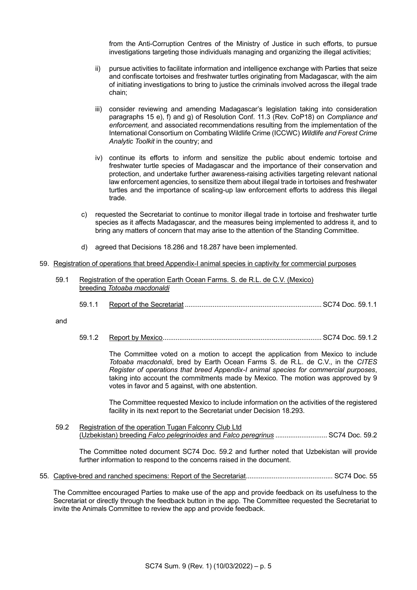from the Anti-Corruption Centres of the Ministry of Justice in such efforts, to pursue investigations targeting those individuals managing and organizing the illegal activities;

- ii) pursue activities to facilitate information and intelligence exchange with Parties that seize and confiscate tortoises and freshwater turtles originating from Madagascar, with the aim of initiating investigations to bring to justice the criminals involved across the illegal trade chain;
- iii) consider reviewing and amending Madagascar's legislation taking into consideration paragraphs 15 e), f) and g) of Resolution Conf. 11.3 (Rev. CoP18) on *Compliance and enforcement,* and associated recommendations resulting from the implementation of the International Consortium on Combating Wildlife Crime (ICCWC) *Wildlife and Forest Crime Analytic Toolkit* in the country; and
- iv) continue its efforts to inform and sensitize the public about endemic tortoise and freshwater turtle species of Madagascar and the importance of their conservation and protection, and undertake further awareness-raising activities targeting relevant national law enforcement agencies, to sensitize them about illegal trade in tortoises and freshwater turtles and the importance of scaling-up law enforcement efforts to address this illegal trade.
- c) requested the Secretariat to continue to monitor illegal trade in tortoise and freshwater turtle species as it affects Madagascar, and the measures being implemented to address it, and to bring any matters of concern that may arise to the attention of the Standing Committee.
- d) agreed that Decisions 18.286 and 18.287 have been implemented.

#### 59. Registration of operations that breed Appendix-I animal species in captivity for commercial purposes

- 59.1 Registration of the operation Earth Ocean Farms. S. de R.L. de C.V. (Mexico) breeding *Totoaba macdonaldi*
	- 59.1.1 Report of the Secretariat .......................................................................... SC74 Doc. 59.1.1

and

59.1.2 Report by Mexico...................................................................................... SC74 Doc. 59.1.2

The Committee voted on a motion to accept the application from Mexico to include *Totoaba macdonaldi*, bred by Earth Ocean Farms S. de R.L. de C.V., in the *CITES Register of operations that breed Appendix-I animal species for commercial purposes*, taking into account the commitments made by Mexico*.* The motion was approved by 9 votes in favor and 5 against, with one abstention.

The Committee requested Mexico to include information on the activities of the registered facility in its next report to the Secretariat under Decision 18.293.

59.2 Registration of the operation Tugan Falconry Club Ltd (Uzbekistan) breeding *Falco pelegrinoides* and *Falco peregrinus* ............................ SC74 Doc. 59.2

The Committee noted document SC74 Doc. 59.2 and further noted that Uzbekistan will provide further information to respond to the concerns raised in the document.

55. Captive-bred and ranched specimens: Report of the Secretariat............................................... SC74 Doc. 55

The Committee encouraged Parties to make use of the app and provide feedback on its usefulness to the Secretariat or directly through the feedback button in the app. The Committee requested the Secretariat to invite the Animals Committee to review the app and provide feedback.